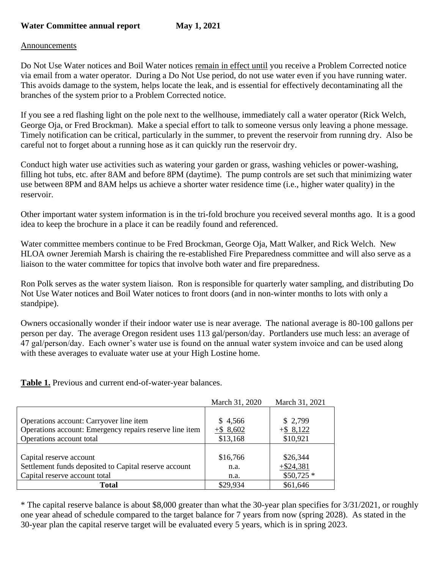## **Announcements**

Do Not Use Water notices and Boil Water notices remain in effect until you receive a Problem Corrected notice via email from a water operator. During a Do Not Use period, do not use water even if you have running water. This avoids damage to the system, helps locate the leak, and is essential for effectively decontaminating all the branches of the system prior to a Problem Corrected notice.

If you see a red flashing light on the pole next to the wellhouse, immediately call a water operator (Rick Welch, George Oja, or Fred Brockman). Make a special effort to talk to someone versus only leaving a phone message. Timely notification can be critical, particularly in the summer, to prevent the reservoir from running dry. Also be careful not to forget about a running hose as it can quickly run the reservoir dry.

Conduct high water use activities such as watering your garden or grass, washing vehicles or power-washing, filling hot tubs, etc. after 8AM and before 8PM (daytime). The pump controls are set such that minimizing water use between 8PM and 8AM helps us achieve a shorter water residence time (i.e., higher water quality) in the reservoir.

Other important water system information is in the tri-fold brochure you received several months ago. It is a good idea to keep the brochure in a place it can be readily found and referenced.

Water committee members continue to be Fred Brockman, George Oja, Matt Walker, and Rick Welch. New HLOA owner Jeremiah Marsh is chairing the re-established Fire Preparedness committee and will also serve as a liaison to the water committee for topics that involve both water and fire preparedness.

Ron Polk serves as the water system liaison. Ron is responsible for quarterly water sampling, and distributing Do Not Use Water notices and Boil Water notices to front doors (and in non-winter months to lots with only a standpipe).

Owners occasionally wonder if their indoor water use is near average. The national average is 80-100 gallons per person per day. The average Oregon resident uses 113 gal/person/day. Portlanders use much less: an average of 47 gal/person/day. Each owner's water use is found on the annual water system invoice and can be used along with these averages to evaluate water use at your High Lostine home.

**Table 1.** Previous and current end-of-water-year balances.

|                                                                                                                   | March 31, 2020           | March 31, 2021                          |
|-------------------------------------------------------------------------------------------------------------------|--------------------------|-----------------------------------------|
| Operations account: Carryover line item<br>Operations account: Emergency repairs reserve line item                | \$4,566<br>$+$ \$ 8,602  | \$ 2,799<br>$+$ \$ 8,122                |
| Operations account total                                                                                          | \$13,168                 | \$10,921                                |
| Capital reserve account<br>Settlement funds deposited to Capital reserve account<br>Capital reserve account total | \$16,766<br>n.a.<br>n.a. | \$26,344<br>$+$ \$24,381<br>$$50,725$ * |
| <b>Total</b>                                                                                                      | \$29,934                 | \$61,646                                |

\* The capital reserve balance is about \$8,000 greater than what the 30-year plan specifies for 3/31/2021, or roughly one year ahead of schedule compared to the target balance for 7 years from now (spring 2028). As stated in the 30-year plan the capital reserve target will be evaluated every 5 years, which is in spring 2023.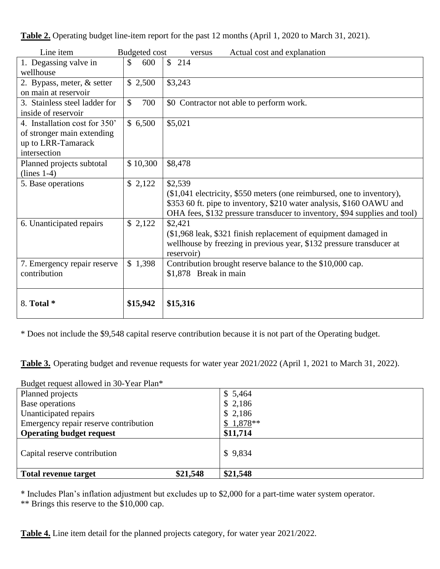| Line item                     | <b>Budgeted cost</b> | Actual cost and explanation<br>versus                                     |
|-------------------------------|----------------------|---------------------------------------------------------------------------|
| 1. Degassing valve in         | \$<br>600            | \$214                                                                     |
| wellhouse                     |                      |                                                                           |
| 2. Bypass, meter, & setter    | \$2,500              | \$3,243                                                                   |
| on main at reservoir          |                      |                                                                           |
| 3. Stainless steel ladder for | $\mathcal{S}$<br>700 | \$0 Contractor not able to perform work.                                  |
| inside of reservoir           |                      |                                                                           |
| 4. Installation cost for 350' | \$6,500              | \$5,021                                                                   |
| of stronger main extending    |                      |                                                                           |
| up to LRR-Tamarack            |                      |                                                                           |
| intersection                  |                      |                                                                           |
| Planned projects subtotal     | \$10,300             | \$8,478                                                                   |
| $(lines 1-4)$                 |                      |                                                                           |
| 5. Base operations            | \$2,122              | \$2,539                                                                   |
|                               |                      | (\$1,041 electricity, \$550 meters (one reimbursed, one to inventory),    |
|                               |                      | \$353 60 ft. pipe to inventory, \$210 water analysis, \$160 OAWU and      |
|                               |                      | OHA fees, \$132 pressure transducer to inventory, \$94 supplies and tool) |
| 6. Unanticipated repairs      | \$2,122              | \$2,421                                                                   |
|                               |                      | $($1,968$ leak, \$321 finish replacement of equipment damaged in          |
|                               |                      | wellhouse by freezing in previous year, \$132 pressure transducer at      |
|                               |                      | reservoir)                                                                |
| 7. Emergency repair reserve   | \$1,398              | Contribution brought reserve balance to the \$10,000 cap.                 |
| contribution                  |                      | \$1,878 Break in main                                                     |
|                               |                      |                                                                           |
|                               |                      |                                                                           |
| 8. Total *                    | \$15,942             | \$15,316                                                                  |
|                               |                      |                                                                           |

**Table 2.** Operating budget line-item report for the past 12 months (April 1, 2020 to March 31, 2021).

\* Does not include the \$9,548 capital reserve contribution because it is not part of the Operating budget.

**Table 3.** Operating budget and revenue requests for water year 2021/2022 (April 1, 2021 to March 31, 2022).

Budget request allowed in 30-Year Plan\*

| <b>Total revenue target</b>           | \$21,548<br>\$21,548 |
|---------------------------------------|----------------------|
| Capital reserve contribution          | \$9,834              |
| <b>Operating budget request</b>       | \$11,714             |
| Emergency repair reserve contribution | $$1,878**$           |
| Unanticipated repairs                 | \$2,186              |
| Base operations                       | \$2,186              |
| Planned projects                      | \$5,464              |
|                                       |                      |

\* Includes Plan's inflation adjustment but excludes up to \$2,000 for a part-time water system operator.

\*\* Brings this reserve to the \$10,000 cap.

**Table 4.** Line item detail for the planned projects category, for water year 2021/2022.